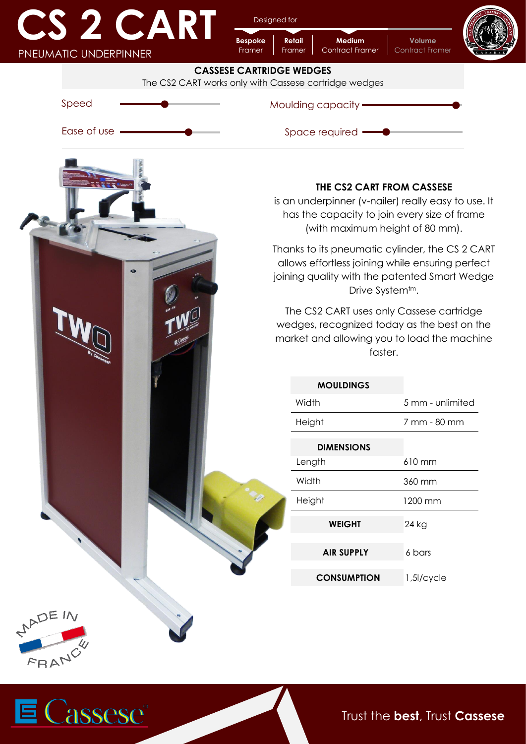| <u> Transformation de la proprie</u> | <b>CART</b> |
|--------------------------------------|-------------|
| PNEUMATIC UNDERPINNER                |             |

Designed for

**Retail**

**Bespoke**

**Medium** Contract Framer **Volume** Contract Framer







Trust the **best**, Trust **Cassese**